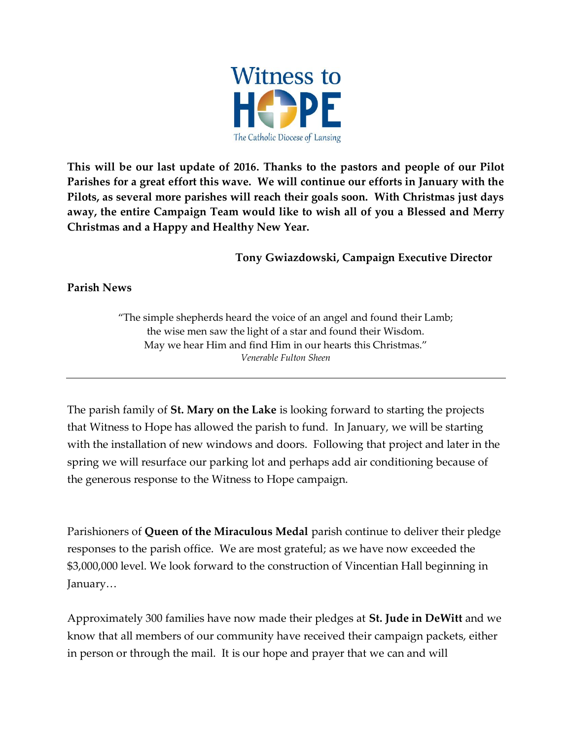

**This will be our last update of 2016. Thanks to the pastors and people of our Pilot Parishes for a great effort this wave. We will continue our efforts in January with the Pilots, as several more parishes will reach their goals soon. With Christmas just days away, the entire Campaign Team would like to wish all of you a Blessed and Merry Christmas and a Happy and Healthy New Year.** 

**Tony Gwiazdowski, Campaign Executive Director**

**Parish News**

"The simple shepherds heard the voice of an angel and found their Lamb; the wise men saw the light of a star and found their Wisdom. May we hear Him and find Him in our hearts this Christmas." *Venerable Fulton Sheen*

The parish family of **St. Mary on the Lake** is looking forward to starting the projects that Witness to Hope has allowed the parish to fund. In January, we will be starting with the installation of new windows and doors. Following that project and later in the spring we will resurface our parking lot and perhaps add air conditioning because of the generous response to the Witness to Hope campaign.

Parishioners of **Queen of the Miraculous Medal** parish continue to deliver their pledge responses to the parish office. We are most grateful; as we have now exceeded the \$3,000,000 level. We look forward to the construction of Vincentian Hall beginning in January…

Approximately 300 families have now made their pledges at **St. Jude in DeWitt** and we know that all members of our community have received their campaign packets, either in person or through the mail. It is our hope and prayer that we can and will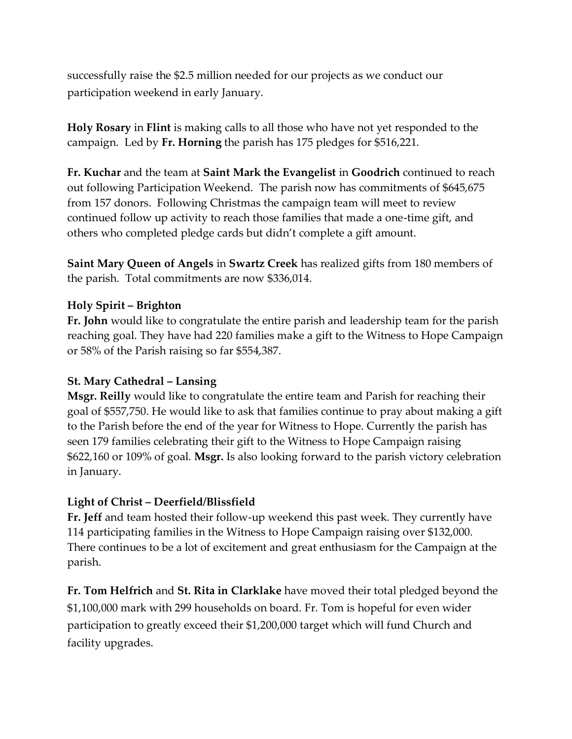successfully raise the \$2.5 million needed for our projects as we conduct our participation weekend in early January.

**Holy Rosary** in **Flint** is making calls to all those who have not yet responded to the campaign. Led by **Fr. Horning** the parish has 175 pledges for \$516,221.

**Fr. Kuchar** and the team at **Saint Mark the Evangelist** in **Goodrich** continued to reach out following Participation Weekend. The parish now has commitments of \$645,675 from 157 donors. Following Christmas the campaign team will meet to review continued follow up activity to reach those families that made a one-time gift, and others who completed pledge cards but didn't complete a gift amount.

**Saint Mary Queen of Angels** in **Swartz Creek** has realized gifts from 180 members of the parish. Total commitments are now \$336,014.

## **Holy Spirit – Brighton**

**Fr. John** would like to congratulate the entire parish and leadership team for the parish reaching goal. They have had 220 families make a gift to the Witness to Hope Campaign or 58% of the Parish raising so far \$554,387.

## **St. Mary Cathedral – Lansing**

**Msgr. Reilly** would like to congratulate the entire team and Parish for reaching their goal of \$557,750. He would like to ask that families continue to pray about making a gift to the Parish before the end of the year for Witness to Hope. Currently the parish has seen 179 families celebrating their gift to the Witness to Hope Campaign raising \$622,160 or 109% of goal. **Msgr.** Is also looking forward to the parish victory celebration in January.

## **Light of Christ – Deerfield/Blissfield**

**Fr. Jeff** and team hosted their follow-up weekend this past week. They currently have 114 participating families in the Witness to Hope Campaign raising over \$132,000. There continues to be a lot of excitement and great enthusiasm for the Campaign at the parish.

**Fr. Tom Helfrich** and **St. Rita in Clarklake** have moved their total pledged beyond the \$1,100,000 mark with 299 households on board. Fr. Tom is hopeful for even wider participation to greatly exceed their \$1,200,000 target which will fund Church and facility upgrades.